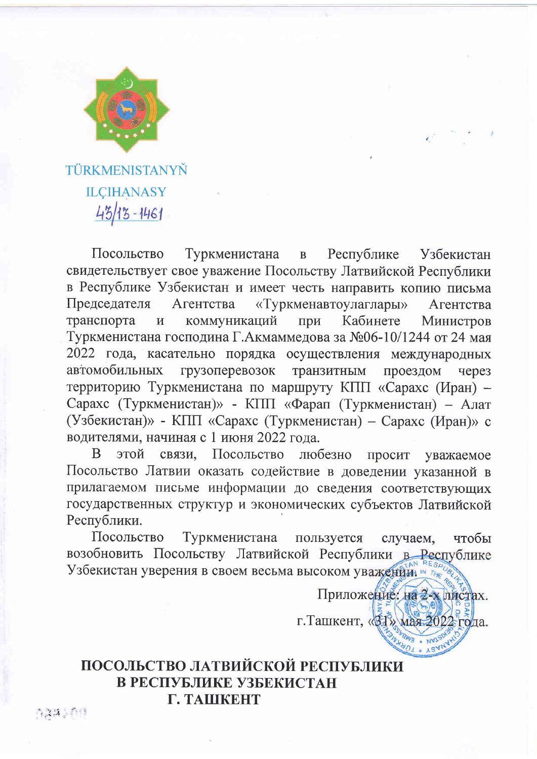

TÜRKMENISTANYŇ **ILCIHANASY** 43/13-1461

Посольство Туркменистана  $\mathbf{B}$ Республике **Узбекистан** свидетельствует свое уважение Посольству Латвийской Республики в Республике Узбекистан и имеет честь направить копию письма «Туркменавтоулаглары» Председателя Агентства Агентства Кабинете транспорта  $\overline{\mathbf{M}}$ коммуникаций при Министров Туркменистана господина Г.Акмаммедова за №06-10/1244 от 24 мая 2022 года, касательно порядка осуществления международных автомобильных грузоперевозок транзитным проездом yepe<sub>3</sub> территорию Туркменистана по маршруту КПП «Сарахс (Иран) -Сарахс (Туркменистан)» - КПП «Фарап (Туркменистан) – Алат (Узбекистан)» - КПП «Сарахс (Туркменистан) – Сарахс (Иран)» с водителями, начиная с 1 июня 2022 года.

 $\mathbf{B}$ этой связи. Посольство любезно просит уважаемое Посольство Латвии оказать содействие в доведении указанной в прилагаемом письме информации до сведения соответствующих государственных структур и экономических субъектов Латвийской Республики.

Посольство Туркменистана пользуется случаем. чтобы возобновить Посольству Латвийской Республики в Республике Узбекистан уверения в своем весьма высоком уважении.

> Приложение. на 2-х пистах. г. Ташкент, «ВЈ» мая 2022 года.

ПОСОЛЬСТВО ЛАТВИЙСКОЙ РЕСПУБЛИКИ В РЕСПУБЛИКЕ УЗБЕКИСТАН Г. ТАШКЕНТ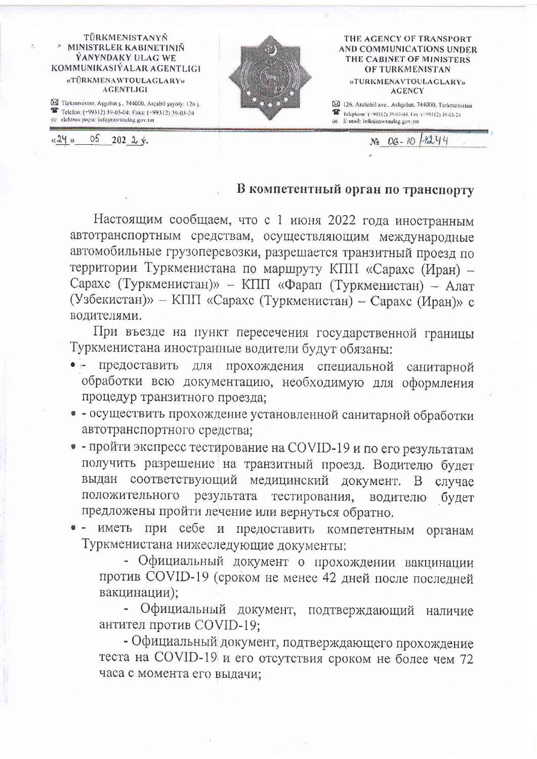## TÜRKMENISTANYŇ \* MINISTRLER KABINETINIŇ **YANYNDAKY ULAG WE** KOMMUNIKASIYALAR AGENTLIGI «TÜRKMENAWTOULAGLARY» **AGENTLIGI**

X Türkmenistan, Aşgabat ş., 744000, Arçabil şayoly, 126 j. Telefon: (+99312) 39-03-04: Faks: (-99312) 39-03-24 (a) elektron pocta: info(a)awtoulag.gov.tm



## THE AGENCY OF TRANSPORT AND COMMUNICATIONS UNDER THE CABINET OF MINISTERS **OF TURKMENISTAN** «TURKMENAVTOULAGLARY» **AGENCY**

29 126. Archabil ave., Ashgabat. 744000, Turkmenistan Telephone (~99312) 39-03-04, Fax (~99312) 39-03-24 (ie) E-mail: info@awtoulag.gov.nn

 $N_2$   $OG - RO$ 

1-1244

 $\circ$  $k24x$  $202 \frac{1}{2} y$ .

## В компетентный орган по транспорту

Настоящим сообщаем, что с 1 июня 2022 года иностранным автотранспортным средствам, осуществляющим международные автомобильные грузоперевозки, разрешается транзитный проезд по территории Туркменистана по маршруту КПП «Сарахс (Иран) -Сарахс (Туркменистан)» - КПП «Фарап (Туркменистан) - Алат (Узбекистан)» - КПП «Сарахс (Туркменистан) - Сарахс (Иран)» с водителями.

При въезде на пункт пересечения государственной границы Туркменистана иностранные водители будут обязаны:

- прохождения специальной санитарной предоставить ДЛЯ обработки всю документацию, необходимую для оформления процедур транзитного проезда;
- - осуществить прохождение установленной санитарной обработки автотранспортного средства;
- - пройти экспресс тестирование на COVID-19 и по его результатам получить разрешение на транзитный проезд. Водителю будет выдан соответствующий медицинский документ. В случае результата тестирования, положительного водителю будет предложены пройти лечение или вернуться обратно.
- при себе и предоставить компетентным органам иметь Туркменистана нижеследующие документы;

- Официальный документ о прохождении вакцинации против COVID-19 (сроком не менее 42 дней после последней вакцинации);

Официальный документ, подтверждающий наличие антител против COVID-19;

- Официальный документ, подтверждающего прохождение теста на COVID-19 и его отсутствия сроком не более чем 72 часа с момента его выдачи;